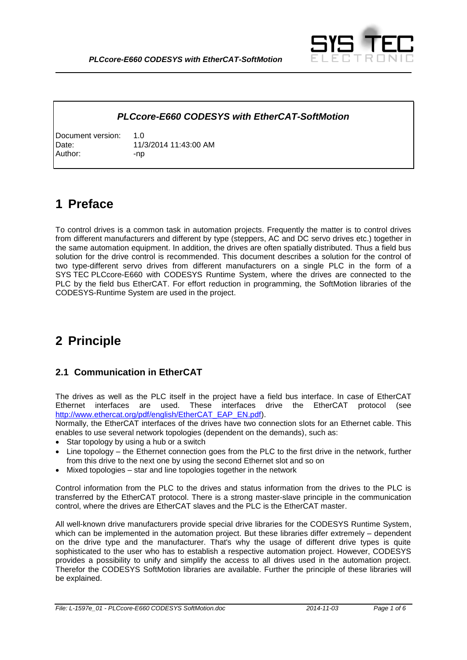

#### *PLCcore-E660 CODESYS with EtherCAT-SoftMotion*

Document version: 1.0 Date: 11/3/2014 11:43:00 AM Author: -np

### **1 Preface**

To control drives is a common task in automation projects. Frequently the matter is to control drives from different manufacturers and different by type (steppers, AC and DC servo drives etc.) together in the same automation equipment. In addition, the drives are often spatially distributed. Thus a field bus solution for the drive control is recommended. This document describes a solution for the control of two type-different servo drives from different manufacturers on a single PLC in the form of a SYS TEC PLCcore-E660 with CODESYS Runtime System, where the drives are connected to the PLC by the field bus EtherCAT. For effort reduction in programming, the SoftMotion libraries of the CODESYS-Runtime System are used in the project.

### **2 Principle**

#### **2.1 Communication in EtherCAT**

The drives as well as the PLC itself in the project have a field bus interface. In case of EtherCAT Ethernet interfaces are used. These interfaces drive the EtherCAT protocol (see [http://www.ethercat.org/pdf/english/EtherCAT\\_EAP\\_EN.pdf\)](http://www.ethercat.org/pdf/english/EtherCAT_EAP_EN.pdf).

Normally, the EtherCAT interfaces of the drives have two connection slots for an Ethernet cable. This enables to use several network topologies (dependent on the demands), such as:

- Star topology by using a hub or a switch
- Line topology the Ethernet connection goes from the PLC to the first drive in the network, further from this drive to the next one by using the second Ethernet slot and so on
- Mixed topologies star and line topologies together in the network

Control information from the PLC to the drives and status information from the drives to the PLC is transferred by the EtherCAT protocol. There is a strong master-slave principle in the communication control, where the drives are EtherCAT slaves and the PLC is the EtherCAT master.

All well-known drive manufacturers provide special drive libraries for the CODESYS Runtime System, which can be implemented in the automation project. But these libraries differ extremely – dependent on the drive type and the manufacturer. That's why the usage of different drive types is quite sophisticated to the user who has to establish a respective automation project. However, CODESYS provides a possibility to unify and simplify the access to all drives used in the automation project. Therefor the CODESYS SoftMotion libraries are available. Further the principle of these libraries will be explained.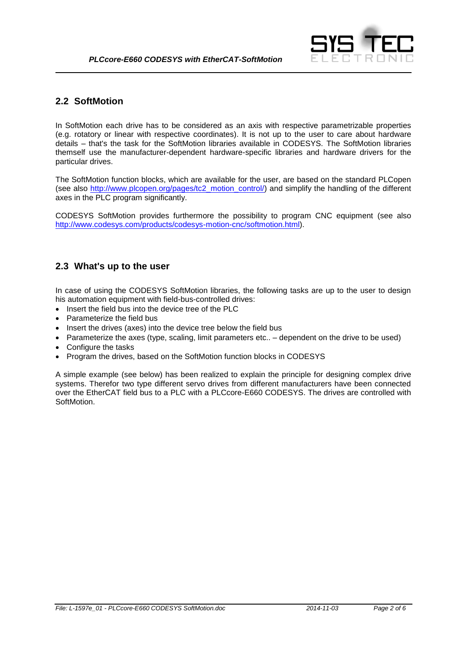

#### **2.2 SoftMotion**

In SoftMotion each drive has to be considered as an axis with respective parametrizable properties (e.g. rotatory or linear with respective coordinates). It is not up to the user to care about hardware details – that's the task for the SoftMotion libraries available in CODESYS. The SoftMotion libraries themself use the manufacturer-dependent hardware-specific libraries and hardware drivers for the particular drives.

The SoftMotion function blocks, which are available for the user, are based on the standard PLCopen (see also [http://www.plcopen.org/pages/tc2\\_motion\\_control/\)](http://www.plcopen.org/pages/tc2_motion_control/) and simplify the handling of the different axes in the PLC program significantly.

CODESYS SoftMotion provides furthermore the possibility to program CNC equipment (see also [http://www.codesys.com/products/codesys-motion-cnc/softmotion.html\)](http://www.codesys.com/products/codesys-motion-cnc/softmotion.html).

#### **2.3 What's up to the user**

In case of using the CODESYS SoftMotion libraries, the following tasks are up to the user to design his automation equipment with field-bus-controlled drives:

- Insert the field bus into the device tree of the PLC
- Parameterize the field bus
- Insert the drives (axes) into the device tree below the field bus
- Parameterize the axes (type, scaling, limit parameters etc.. dependent on the drive to be used)
- Configure the tasks
- Program the drives, based on the SoftMotion function blocks in CODESYS

A simple example (see below) has been realized to explain the principle for designing complex drive systems. Therefor two type different servo drives from different manufacturers have been connected over the EtherCAT field bus to a PLC with a PLCcore-E660 CODESYS. The drives are controlled with **SoftMotion**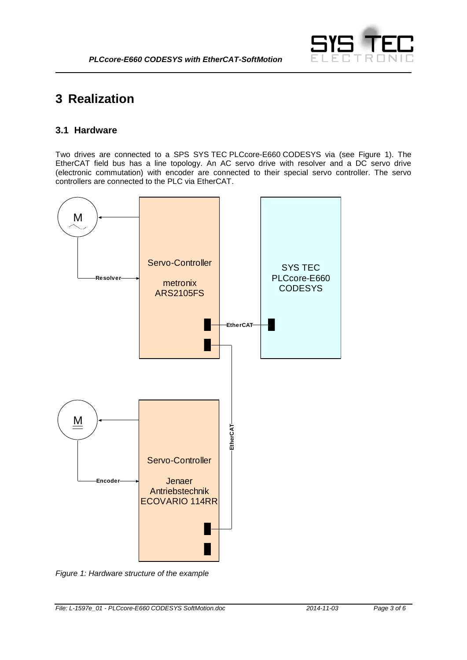

## **3 Realization**

#### **3.1 Hardware**

Two drives are connected to a SPS SYS TEC PLCcore-E660 CODESYS via (see [Figure 1\)](#page-2-0). The EtherCAT field bus has a line topology. An AC servo drive with resolver and a DC servo drive (electronic commutation) with encoder are connected to their special servo controller. The servo controllers are connected to the PLC via EtherCAT.



<span id="page-2-0"></span>*Figure 1: Hardware structure of the example*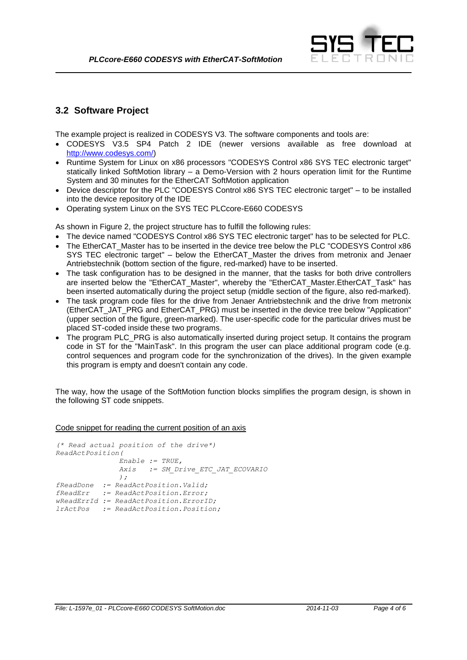

#### **3.2 Software Project**

The example project is realized in CODESYS V3. The software components and tools are:

- CODESYS V3.5 SP4 Patch 2 IDE (newer versions available as free download at [http://www.codesys.com/\)](http://www.codesys.com/)
- Runtime System for Linux on x86 processors "CODESYS Control x86 SYS TEC electronic target" statically linked SoftMotion library – a Demo-Version with 2 hours operation limit for the Runtime System and 30 minutes for the EtherCAT SoftMotion application
- Device descriptor for the PLC "CODESYS Control x86 SYS TEC electronic target" to be installed into the device repository of the IDE
- Operating system Linux on the SYS TEC PLCcore-E660 CODESYS

As shown in [Figure 2,](#page-5-0) the project structure has to fulfill the following rules:

- The device named "CODESYS Control x86 SYS TEC electronic target" has to be selected for PLC.
- The EtherCAT\_Master has to be inserted in the device tree below the PLC "CODESYS Control x86 SYS TEC electronic target" – below the EtherCAT\_Master the drives from metronix and Jenaer Antriebstechnik (bottom section of the figure, red-marked) have to be inserted.
- The task configuration has to be designed in the manner, that the tasks for both drive controllers are inserted below the "EtherCAT\_Master", whereby the "EtherCAT\_Master.EtherCAT\_Task" has been inserted automatically during the project setup (middle section of the figure, also red-marked).
- The task program code files for the drive from Jenaer Antriebstechnik and the drive from metronix (EtherCAT\_JAT\_PRG and EtherCAT\_PRG) must be inserted in the device tree below "Application" (upper section of the figure, green-marked). The user-specific code for the particular drives must be placed ST-coded inside these two programs.
- The program PLC\_PRG is also automatically inserted during project setup. It contains the program code in ST for the "MainTask". In this program the user can place additional program code (e.g. control sequences and program code for the synchronization of the drives). In the given example this program is empty and doesn't contain any code.

The way, how the usage of the SoftMotion function blocks simplifies the program design, is shown in the following ST code snippets.

Code snippet for reading the current position of an axis

```
(* Read actual position of the drive*)
ReadActPosition(
               Enable := TRUE,
               Axis := SM_Drive_ETC_JAT_ECOVARIO
               );
fReadDone := ReadActPosition.Valid;
fReadErr := ReadActPosition.Error;
wReadErrId := ReadActPosition.ErrorID;
lrActPos := ReadActPosition.Position;
```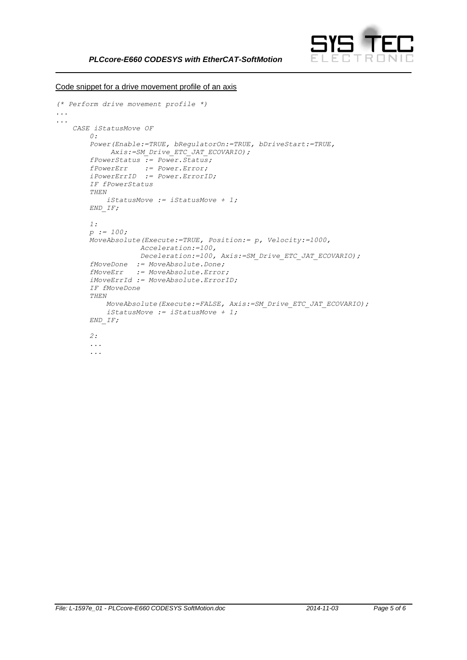

Code snippet for a drive movement profile of an axis

```
(* Perform drive movement profile *)
...
...
    CASE iStatusMove OF
        0:
        Power(Enable:=TRUE, bRegulatorOn:=TRUE, bDriveStart:=TRUE,
             Axis:=SM_Drive_ETC_JAT_ECOVARIO);
        fPowerStatus := Power.Status;
 fPowerErr := Power.Error;
 iPowerErrID := Power.ErrorID;
        IF fPowerStatus
        THEN
            iStatusMove := iStatusMove + 1;
        END_IF;
        1:
        p := 100;
        MoveAbsolute(Execute:=TRUE, Position:= p, Velocity:=1000,
                    Acceleration:=100,
                   Deceleration:=100, Axis:=SM_Drive_ETC_JAT_ECOVARIO);
 fMoveDone := MoveAbsolute.Done;
 fMoveErr := MoveAbsolute.Error;
        iMoveErrId := MoveAbsolute.ErrorID;
        IF fMoveDone
        THEN
            MoveAbsolute(Execute:=FALSE, Axis:=SM_Drive_ETC_JAT_ECOVARIO);
            iStatusMove := iStatusMove + 1;
        END_IF;
        2:
         ...
         ...
```